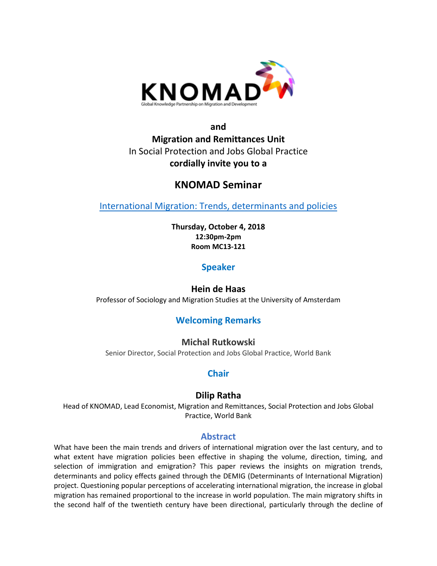

## **and Migration and Remittances Unit** In Social Protection and Jobs Global Practice **cordially invite you to a**

# **KNOMAD Seminar**

[International Migration: Trends, determinants and policies](https://heindehaas.files.wordpress.com/2018/06/wp-142.pdf)

**Thursday, October 4, 2018 12:30pm-2pm Room MC13-121**

**Speaker**

**Hein de Haas** Professor of Sociology and Migration Studies at the University of Amsterdam

## **Welcoming Remarks**

**Michal Rutkowski** Senior Director, Social Protection and Jobs Global Practice, World Bank

## **Chair**

## **Dilip Ratha**

Head of KNOMAD, Lead Economist, Migration and Remittances, Social Protection and Jobs Global Practice, World Bank

#### **Abstract**

What have been the main trends and drivers of international migration over the last century, and to what extent have migration policies been effective in shaping the volume, direction, timing, and selection of immigration and emigration? This paper reviews the insights on migration trends, determinants and policy effects gained through the DEMIG (Determinants of International Migration) project. Questioning popular perceptions of accelerating international migration, the increase in global migration has remained proportional to the increase in world population. The main migratory shifts in the second half of the twentieth century have been directional, particularly through the decline of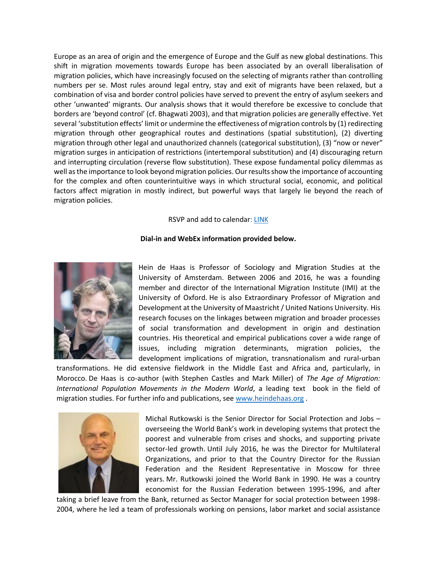Europe as an area of origin and the emergence of Europe and the Gulf as new global destinations. This shift in migration movements towards Europe has been associated by an overall liberalisation of migration policies, which have increasingly focused on the selecting of migrants rather than controlling numbers per se. Most rules around legal entry, stay and exit of migrants have been relaxed, but a combination of visa and border control policies have served to prevent the entry of asylum seekers and other 'unwanted' migrants. Our analysis shows that it would therefore be excessive to conclude that borders are 'beyond control' (cf. Bhagwati 2003), and that migration policies are generally effective. Yet several 'substitution effects' limit or undermine the effectiveness of migration controls by (1) redirecting migration through other geographical routes and destinations (spatial substitution), (2) diverting migration through other legal and unauthorized channels (categorical substitution), (3) "now or never" migration surges in anticipation of restrictions (intertemporal substitution) and (4) discouraging return and interrupting circulation (reverse flow substitution). These expose fundamental policy dilemmas as well as the importance to look beyond migration policies. Our results show the importance of accounting for the complex and often counterintuitive ways in which structural social, economic, and political factors affect migration in mostly indirect, but powerful ways that largely lie beyond the reach of migration policies.

#### RSVP and add to calendar: [LINK](http://emaillinks.worldbank.org/ATCandRSVP.html?target=outlook&subject=KNOMAD%20Seminar%20on%20International%20Migration%3A%20Trends%2C%20Determinants%20and%20Policies%20on%20Thursday%2C%20October%204%2C%202018%20in%20MC13-121%20(12%3A30-%3A2%3A00%20P.M.)&location=MC13-121&start=10/04/2018%2012:30:00%20PM&end=10/04/2018%2002:00:00%20PM&sendto=KNOMAD%40WORLDBANK.ORG)

#### **Dial-in and WebEx information provided below.**



Hein de Haas is Professor of Sociology and Migration Studies at the University of Amsterdam. Between 2006 and 2016, he was a founding member and director of the International Migration Institute (IMI) at the University of Oxford. He is also Extraordinary Professor of Migration and Development at the University of Maastricht / United Nations University. His research focuses on the linkages between migration and broader processes of social transformation and development in origin and destination countries. His theoretical and empirical publications cover a wide range of issues, including migration determinants, migration policies, the development implications of migration, transnationalism and rural-urban

transformations. He did extensive fieldwork in the Middle East and Africa and, particularly, in Morocco. De Haas is co-author (with Stephen Castles and Mark Miller) of *The Age of Migration: International Population Movements in the Modern World*, a leading text book in the field of migration studies. For further info and publications, see [www.heindehaas.org](http://www.heindehaas.org/).



Michal Rutkowski is the Senior Director for Social Protection and Jobs – overseeing the World Bank's work in developing systems that protect the poorest and vulnerable from crises and shocks, and supporting private sector-led growth. Until July 2016, he was the Director for Multilateral Organizations, and prior to that the Country Director for the Russian Federation and the Resident Representative in Moscow for three years. Mr. Rutkowski joined the World Bank in 1990. He was a country economist for the Russian Federation between 1995-1996, and after

taking a brief leave from the Bank, returned as Sector Manager for social protection between 1998- 2004, where he led a team of professionals working on pensions, labor market and social assistance